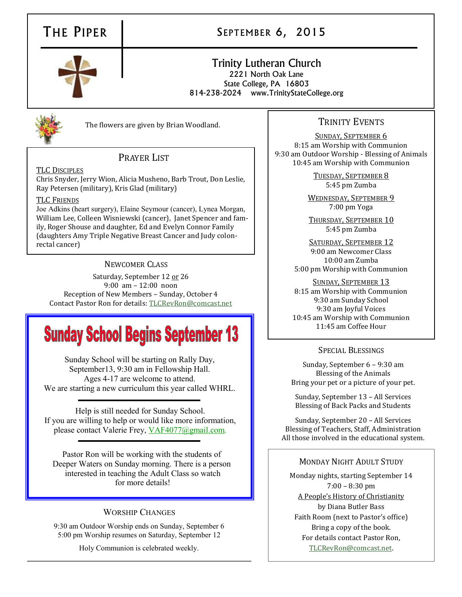## THE PIPER | SEPTEMBER 6, 2015

### Trinity Lutheran Church 2221 North Oak Lane State College, PA 16803

814-238-2024 www.TrinityStateCollege.org



The flowers are given by Brian Woodland.

#### PRAYER LIST

TLC DISCIPLES

Chris Snyder, Jerry Wion, Alicia Musheno, Barb Trout, Don Leslie, Ray Petersen (military), Kris Glad (military)

#### TLC FRIENDS

Joe Adkins (heart surgery), Elaine Seymour (cancer), Lynea Morgan, William Lee, Colleen Wisniewski (cancer), Janet Spencer and family, Roger Shouse and daughter, Ed and Evelyn Connor Family (daughters Amy Triple Negative Breast Cancer and Judy colonrectal cancer)

#### NEWCOMER CLASS

Saturday, September 12 or 26 9:00 am – 12:00 noon Reception of New Members – Sunday, October 4 Contact Pastor Ron for details: [TLCRevRon@comcast.net](mailto:TLCRevRon@comcast.net)

# **Sunday School Begins September 13**

Sunday School will be starting on Rally Day, September13, 9:30 am in Fellowship Hall. Ages 4-17 are welcome to attend. We are starting a new curriculum this year called WHRL.

Help is still needed for Sunday School. If you are willing to help or would like more information, please contact Valerie Frey, [VAF4077@gmail.com.](mailto:VAF4077@gmail.com)

Pastor Ron will be working with the students of Deeper Waters on Sunday morning. There is a person interested in teaching the Adult Class so watch for more details!

#### WORSHIP CHANGES

9:30 am Outdoor Worship ends on Sunday, September 6 5:00 pm Worship resumes on Saturday, September 12

Holy Communion is celebrated weekly.

#### TRINITY EVENTS

SUNDAY, SEPTEMBER 6 8:15 am Worship with Communion 9:30 am Outdoor Worship - Blessing of Animals 10:45 am Worship with Communion

> TUESDAY, SEPTEMBER 8 5:45 pm Zumba

WEDNESDAY, SEPTEMBER 9 7:00 pm Yoga

THURSDAY, SEPTEMBER 10 5:45 pm Zumba

SATURDAY, SEPTEMBER 12 9:00 am Newcomer Class 10:00 am Zumba 5:00 pm Worship with Communion

SUNDAY, SEPTEMBER 13 8:15 am Worship with Communion 9:30 am Sunday School 9:30 am Joyful Voices 10:45 am Worship with Communion 11:45 am Coffee Hour

#### SPECIAL BLESSINGS

Sunday, September 6 – 9:30 am Blessing of the Animals Bring your pet or a picture of your pet.

Sunday, September 13 – All Services Blessing of Back Packs and Students

Sunday, September 20 – All Services Blessing of Teachers, Staff, Administration All those involved in the educational system.

#### MONDAY NIGHT ADULT STUDY

Monday nights, starting September 14 7:00 – 8:30 pm A People's History of Christianity by Diana Butler Bass Faith Room (next to Pastor's office) Bring a copy of the book. For details contact Pastor Ron, [TLCRevRon@comcast.net.](mailto:TLCRevRon@comcast.net)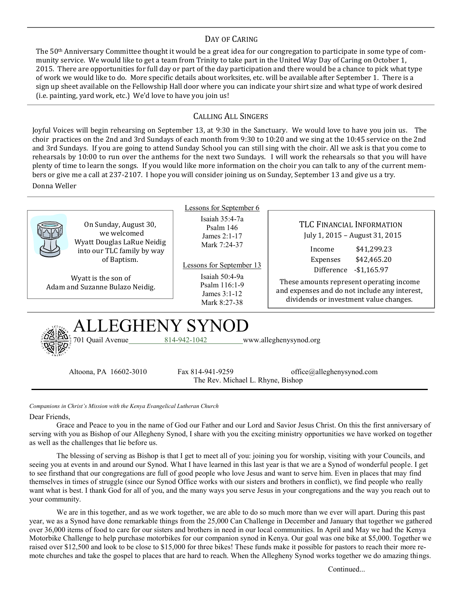#### DAY OF CARING

The 50th Anniversary Committee thought it would be a great idea for our congregation to participate in some type of community service. We would like to get a team from Trinity to take part in the United Way Day of Caring on October 1, 2015. There are opportunities for full day or part of the day participation and there would be a chance to pick what type of work we would like to do. More specific details about worksites, etc. will be available after September 1. There is a sign up sheet available on the Fellowship Hall door where you can indicate your shirt size and what type of work desired (i.e. painting, yard work, etc.) We'd love to have you join us!

#### CALLING ALL SINGERS

Joyful Voices will begin rehearsing on September 13, at 9:30 in the Sanctuary. We would love to have you join us. The choir practices on the 2nd and 3rd Sundays of each month from 9:30 to 10:20 and we sing at the 10:45 service on the 2nd and 3rd Sundays. If you are going to attend Sunday School you can still sing with the choir. All we ask is that you come to rehearsals by 10:00 to run over the anthems for the next two Sundays. I will work the rehearsals so that you will have plenty of time to learn the songs. If you would like more information on the choir you can talk to any of the current members or give me a call at 237-2107. I hope you will consider joining us on Sunday, September 13 and give us a try. Donna Weller

|                                                                                                                                                                           | Lessons for September 6                                                                                                                                            |                                                                                                                                                                                                                                                                                      |
|---------------------------------------------------------------------------------------------------------------------------------------------------------------------------|--------------------------------------------------------------------------------------------------------------------------------------------------------------------|--------------------------------------------------------------------------------------------------------------------------------------------------------------------------------------------------------------------------------------------------------------------------------------|
| On Sunday, August 30,<br>we welcomed<br>Wyatt Douglas LaRue Neidig<br>into our TLC family by way<br>of Baptism.<br>Wyatt is the son of<br>Adam and Suzanne Bulazo Neidig. | Isaiah $35:4-7a$<br>Psalm 146<br>James $2:1-17$<br>Mark 7:24-37<br>Lessons for September 13<br>Isaiah $50:4-9a$<br>Psalm 116:1-9<br>James $3:1-12$<br>Mark 8:27-38 | TLC FINANCIAL INFORMATION<br>July 1, 2015 - August 31, 2015<br>\$41,299.23<br>Income<br>\$42,465.20<br>Expenses<br>Difference<br>$-$1,165.97$<br>These amounts represent operating income<br>and expenses and do not include any interest,<br>dividends or investment value changes. |
| ALLEGHENY SYNOD<br>701 Quail Avenue<br>814-942-1042<br>www.alleghenysynod.org                                                                                             |                                                                                                                                                                    |                                                                                                                                                                                                                                                                                      |
| Altoona, PA 16602-3010                                                                                                                                                    | Fax 814-941-9259<br>The Rev. Michael L. Rhyne, Bishop                                                                                                              | $of\text{fice@alleghenysynod.com}$                                                                                                                                                                                                                                                   |

*Companions in Christ's Mission with the Kenya Evangelical Lutheran Church*

Dear Friends,

Grace and Peace to you in the name of God our Father and our Lord and Savior Jesus Christ. On this the first anniversary of serving with you as Bishop of our Allegheny Synod, I share with you the exciting ministry opportunities we have worked on together as well as the challenges that lie before us.

The blessing of serving as Bishop is that I get to meet all of you: joining you for worship, visiting with your Councils, and seeing you at events in and around our Synod. What I have learned in this last year is that we are a Synod of wonderful people. I get to see firsthand that our congregations are full of good people who love Jesus and want to serve him. Even in places that may find themselves in times of struggle (since our Synod Office works with our sisters and brothers in conflict), we find people who really want what is best. I thank God for all of you, and the many ways you serve Jesus in your congregations and the way you reach out to your community.

We are in this together, and as we work together, we are able to do so much more than we ever will apart. During this past year, we as a Synod have done remarkable things from the 25,000 Can Challenge in December and January that together we gathered over 36,000 items of food to care for our sisters and brothers in need in our local communities. In April and May we had the Kenya Motorbike Challenge to help purchase motorbikes for our companion synod in Kenya. Our goal was one bike at \$5,000. Together we raised over \$12,500 and look to be close to \$15,000 for three bikes! These funds make it possible for pastors to reach their more remote churches and take the gospel to places that are hard to reach. When the Allegheny Synod works together we do amazing things.